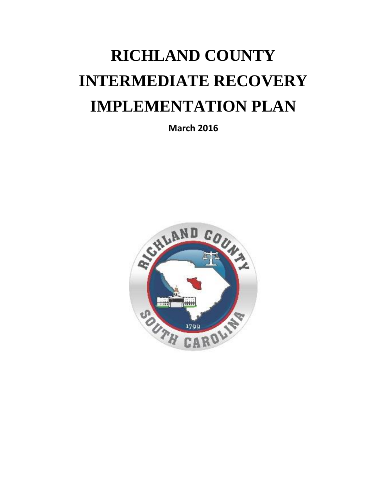# **RICHLAND COUNTY INTERMEDIATE RECOVERY IMPLEMENTATION PLAN**

**March 2016**

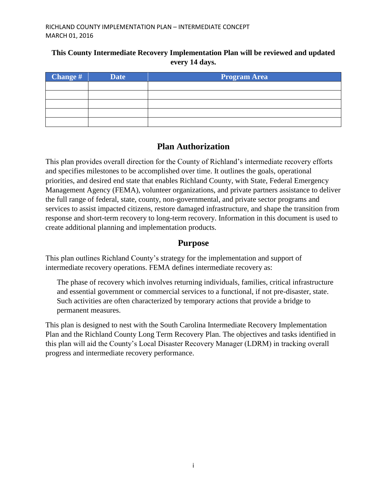### **This County Intermediate Recovery Implementation Plan will be reviewed and updated every 14 days.**

| $\blacksquare$ Change # | <b>Date</b> | <b>Program Area</b> |
|-------------------------|-------------|---------------------|
|                         |             |                     |
|                         |             |                     |
|                         |             |                     |
|                         |             |                     |
|                         |             |                     |

## **Plan Authorization**

This plan provides overall direction for the County of Richland's intermediate recovery efforts and specifies milestones to be accomplished over time. It outlines the goals, operational priorities, and desired end state that enables Richland County, with State, Federal Emergency Management Agency (FEMA), volunteer organizations, and private partners assistance to deliver the full range of federal, state, county, non-governmental, and private sector programs and services to assist impacted citizens, restore damaged infrastructure, and shape the transition from response and short-term recovery to long-term recovery. Information in this document is used to create additional planning and implementation products.

## **Purpose**

This plan outlines Richland County's strategy for the implementation and support of intermediate recovery operations. FEMA defines intermediate recovery as:

The phase of recovery which involves returning individuals, families, critical infrastructure and essential government or commercial services to a functional, if not pre-disaster, state. Such activities are often characterized by temporary actions that provide a bridge to permanent measures.

This plan is designed to nest with the South Carolina Intermediate Recovery Implementation Plan and the Richland County Long Term Recovery Plan. The objectives and tasks identified in this plan will aid the County's Local Disaster Recovery Manager (LDRM) in tracking overall progress and intermediate recovery performance.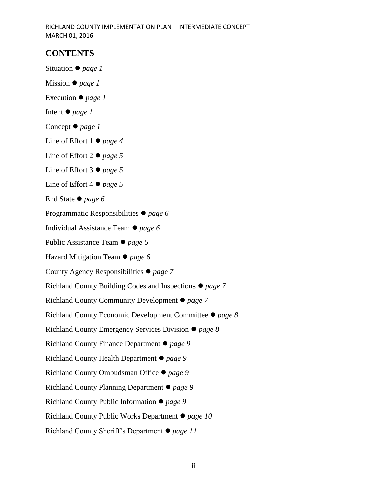## **CONTENTS**

Situation *page 1*

- Mission *page 1*
- Execution *page 1*
- Intent *page 1*
- Concept *page 1*
- Line of Effort 1 *page 4*
- Line of Effort 2 *page 5*
- Line of Effort 3 *page 5*
- Line of Effort 4 *page 5*
- End State *page 6*
- Programmatic Responsibilities *page 6*
- Individual Assistance Team *page 6*
- Public Assistance Team *page 6*
- Hazard Mitigation Team *page 6*
- County Agency Responsibilities *page 7*
- Richland County Building Codes and Inspections *page 7*
- Richland County Community Development *page 7*
- Richland County Economic Development Committee *page 8*
- Richland County Emergency Services Division *page 8*
- Richland County Finance Department *page 9*
- Richland County Health Department *page 9*
- Richland County Ombudsman Office *page 9*
- Richland County Planning Department *page 9*
- Richland County Public Information *page 9*
- Richland County Public Works Department *page 10*
- Richland County Sheriff's Department *page 11*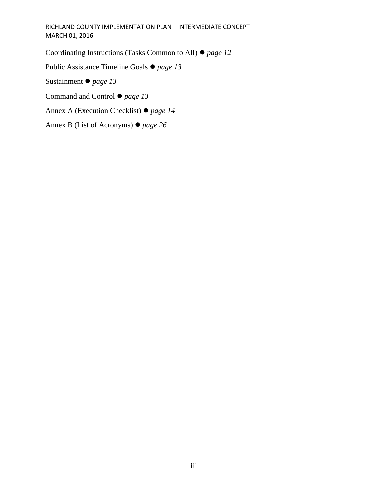Coordinating Instructions (Tasks Common to All) *page 12*

Public Assistance Timeline Goals *page 13*

Sustainment *page 13*

Command and Control *page 13*

Annex A (Execution Checklist) *page 14*

Annex B (List of Acronyms) *page 26*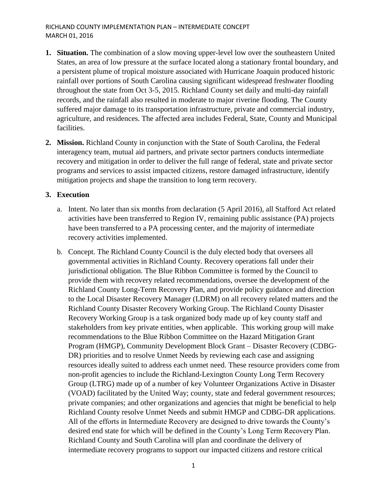- **1. Situation.** The combination of a slow moving upper-level low over the southeastern United States, an area of low pressure at the surface located along a stationary frontal boundary, and a persistent plume of tropical moisture associated with Hurricane Joaquin produced historic rainfall over portions of South Carolina causing significant widespread freshwater flooding throughout the state from Oct 3-5, 2015. Richland County set daily and multi-day rainfall records, and the rainfall also resulted in moderate to major riverine flooding. The County suffered major damage to its transportation infrastructure, private and commercial industry, agriculture, and residences. The affected area includes Federal, State, County and Municipal facilities.
- **2. Mission.** Richland County in conjunction with the State of South Carolina, the Federal interagency team, mutual aid partners, and private sector partners conducts intermediate recovery and mitigation in order to deliver the full range of federal, state and private sector programs and services to assist impacted citizens, restore damaged infrastructure, identify mitigation projects and shape the transition to long term recovery.

#### **3. Execution**

- a. Intent. No later than six months from declaration (5 April 2016), all Stafford Act related activities have been transferred to Region IV, remaining public assistance (PA) projects have been transferred to a PA processing center, and the majority of intermediate recovery activities implemented.
- b. Concept. The Richland County Council is the duly elected body that oversees all governmental activities in Richland County. Recovery operations fall under their jurisdictional obligation. The Blue Ribbon Committee is formed by the Council to provide them with recovery related recommendations, oversee the development of the Richland County Long-Term Recovery Plan, and provide policy guidance and direction to the Local Disaster Recovery Manager (LDRM) on all recovery related matters and the Richland County Disaster Recovery Working Group. The Richland County Disaster Recovery Working Group is a task organized body made up of key county staff and stakeholders from key private entities, when applicable. This working group will make recommendations to the Blue Ribbon Committee on the Hazard Mitigation Grant Program (HMGP), Community Development Block Grant – Disaster Recovery (CDBG-DR) priorities and to resolve Unmet Needs by reviewing each case and assigning resources ideally suited to address each unmet need. These resource providers come from non-profit agencies to include the Richland-Lexington County Long Term Recovery Group (LTRG) made up of a number of key Volunteer Organizations Active in Disaster (VOAD) facilitated by the United Way; county, state and federal government resources; private companies; and other organizations and agencies that might be beneficial to help Richland County resolve Unmet Needs and submit HMGP and CDBG-DR applications. All of the efforts in Intermediate Recovery are designed to drive towards the County's desired end state for which will be defined in the County's Long Term Recovery Plan. Richland County and South Carolina will plan and coordinate the delivery of intermediate recovery programs to support our impacted citizens and restore critical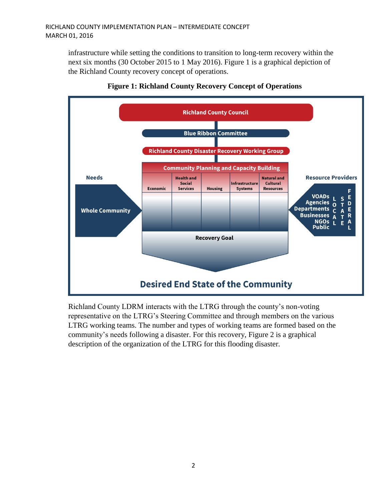infrastructure while setting the conditions to transition to long-term recovery within the next six months (30 October 2015 to 1 May 2016). Figure 1 is a graphical depiction of the Richland County recovery concept of operations.





Richland County LDRM interacts with the LTRG through the county's non-voting representative on the LTRG's Steering Committee and through members on the various LTRG working teams. The number and types of working teams are formed based on the community's needs following a disaster. For this recovery, Figure 2 is a graphical description of the organization of the LTRG for this flooding disaster.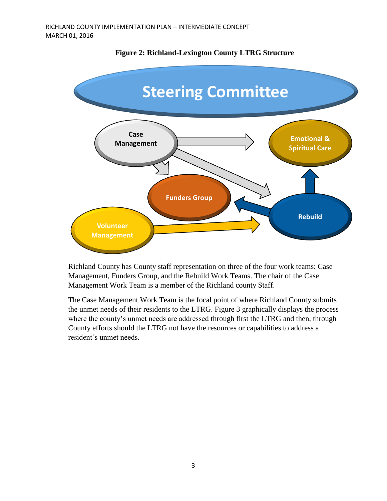

#### **Figure 2: Richland-Lexington County LTRG Structure**

Richland County has County staff representation on three of the four work teams: Case Management, Funders Group, and the Rebuild Work Teams. The chair of the Case Management Work Team is a member of the Richland county Staff.

The Case Management Work Team is the focal point of where Richland County submits the unmet needs of their residents to the LTRG. Figure 3 graphically displays the process where the county's unmet needs are addressed through first the LTRG and then, through County efforts should the LTRG not have the resources or capabilities to address a resident's unmet needs.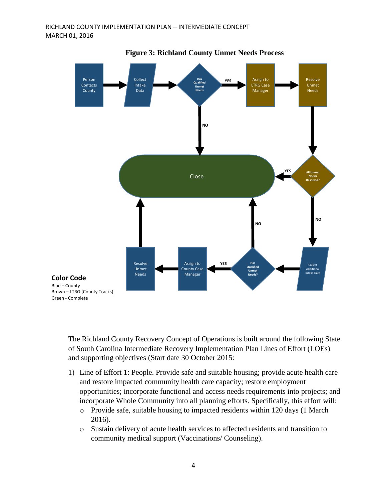

**Figure 3: Richland County Unmet Needs Process**

The Richland County Recovery Concept of Operations is built around the following State of South Carolina Intermediate Recovery Implementation Plan Lines of Effort (LOEs) and supporting objectives (Start date 30 October 2015:

- 1) Line of Effort 1: People. Provide safe and suitable housing; provide acute health care and restore impacted community health care capacity; restore employment opportunities; incorporate functional and access needs requirements into projects; and incorporate Whole Community into all planning efforts. Specifically, this effort will:
	- o Provide safe, suitable housing to impacted residents within 120 days (1 March 2016).
	- o Sustain delivery of acute health services to affected residents and transition to community medical support (Vaccinations/ Counseling).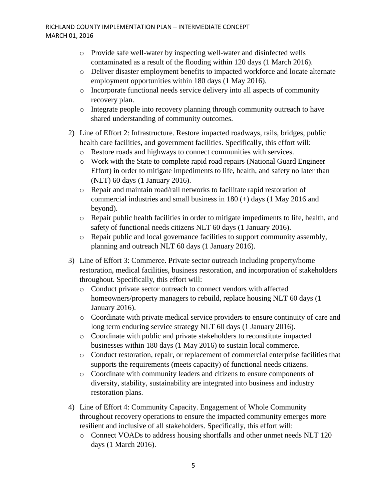- o Provide safe well-water by inspecting well-water and disinfected wells contaminated as a result of the flooding within 120 days (1 March 2016).
- o Deliver disaster employment benefits to impacted workforce and locate alternate employment opportunities within 180 days (1 May 2016).
- o Incorporate functional needs service delivery into all aspects of community recovery plan.
- o Integrate people into recovery planning through community outreach to have shared understanding of community outcomes.
- 2) Line of Effort 2: Infrastructure. Restore impacted roadways, rails, bridges, public health care facilities, and government facilities. Specifically, this effort will:
	- o Restore roads and highways to connect communities with services.
	- o Work with the State to complete rapid road repairs (National Guard Engineer Effort) in order to mitigate impediments to life, health, and safety no later than (NLT) 60 days (1 January 2016).
	- o Repair and maintain road/rail networks to facilitate rapid restoration of commercial industries and small business in 180 (+) days (1 May 2016 and beyond).
	- o Repair public health facilities in order to mitigate impediments to life, health, and safety of functional needs citizens NLT 60 days (1 January 2016).
	- o Repair public and local governance facilities to support community assembly, planning and outreach NLT 60 days (1 January 2016).
- 3) Line of Effort 3: Commerce. Private sector outreach including property/home restoration, medical facilities, business restoration, and incorporation of stakeholders throughout. Specifically, this effort will:
	- o Conduct private sector outreach to connect vendors with affected homeowners/property managers to rebuild, replace housing NLT 60 days (1 January 2016).
	- o Coordinate with private medical service providers to ensure continuity of care and long term enduring service strategy NLT 60 days (1 January 2016).
	- o Coordinate with public and private stakeholders to reconstitute impacted businesses within 180 days (1 May 2016) to sustain local commerce.
	- o Conduct restoration, repair, or replacement of commercial enterprise facilities that supports the requirements (meets capacity) of functional needs citizens.
	- o Coordinate with community leaders and citizens to ensure components of diversity, stability, sustainability are integrated into business and industry restoration plans.
- 4) Line of Effort 4: Community Capacity. Engagement of Whole Community throughout recovery operations to ensure the impacted community emerges more resilient and inclusive of all stakeholders. Specifically, this effort will:
	- o Connect VOADs to address housing shortfalls and other unmet needs NLT 120 days (1 March 2016).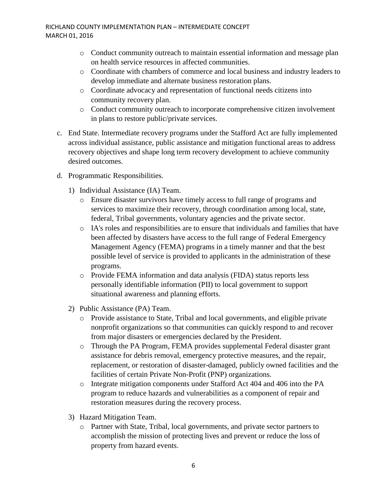- o Conduct community outreach to maintain essential information and message plan on health service resources in affected communities.
- o Coordinate with chambers of commerce and local business and industry leaders to develop immediate and alternate business restoration plans.
- o Coordinate advocacy and representation of functional needs citizens into community recovery plan.
- o Conduct community outreach to incorporate comprehensive citizen involvement in plans to restore public/private services.
- c. End State. Intermediate recovery programs under the Stafford Act are fully implemented across individual assistance, public assistance and mitigation functional areas to address recovery objectives and shape long term recovery development to achieve community desired outcomes.
- d. Programmatic Responsibilities.
	- 1) Individual Assistance (IA) Team.
		- o Ensure disaster survivors have timely access to full range of programs and services to maximize their recovery, through coordination among local, state, federal, Tribal governments, voluntary agencies and the private sector.
		- o IA's roles and responsibilities are to ensure that individuals and families that have been affected by disasters have access to the full range of Federal Emergency Management Agency (FEMA) programs in a timely manner and that the best possible level of service is provided to applicants in the administration of these programs.
		- o Provide FEMA information and data analysis (FIDA) status reports less personally identifiable information (PII) to local government to support situational awareness and planning efforts.
	- 2) Public Assistance (PA) Team.
		- o Provide assistance to State, Tribal and local governments, and eligible private nonprofit organizations so that communities can quickly respond to and recover from major disasters or emergencies declared by the President.
		- o Through the PA Program, FEMA provides supplemental Federal disaster grant assistance for debris removal, emergency protective measures, and the repair, replacement, or restoration of disaster-damaged, publicly owned facilities and the facilities of certain Private Non-Profit (PNP) organizations.
		- o Integrate mitigation components under Stafford Act 404 and 406 into the PA program to reduce hazards and vulnerabilities as a component of repair and restoration measures during the recovery process.
	- 3) Hazard Mitigation Team.
		- o Partner with State, Tribal, local governments, and private sector partners to accomplish the mission of protecting lives and prevent or reduce the loss of property from hazard events.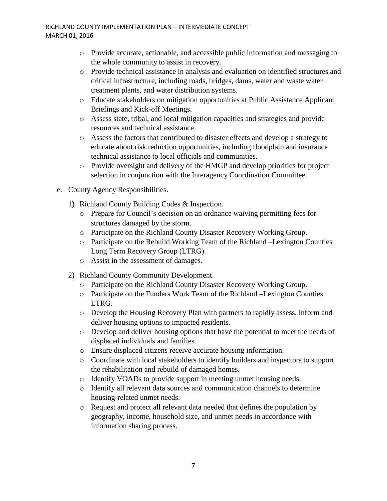- o Provide accurate, actionable, and accessible public information and messaging to the whole community to assist in recovery.
- o Provide technical assistance in analysis and evaluation on identified structures and critical infrastructure, including roads, bridges, dams, water and waste water treatment plants, and water distribution systems.
- o Educate stakeholders on mitigation opportunities at Public Assistance Applicant Briefings and Kick-off Meetings.
- o Assess state, tribal, and local mitigation capacities and strategies and provide resources and technical assistance.
- o Assess the factors that contributed to disaster effects and develop a strategy to educate about risk reduction opportunities, including floodplain and insurance technical assistance to local officials and communities.
- o Provide oversight and delivery of the HMGP and develop priorities for project selection in conjunction with the Interagency Coordination Committee.
- e. County Agency Responsibilities.
	- 1) Richland County Building Codes & Inspection.
		- o Prepare for Council's decision on an ordnance waiving permitting fees for structures damaged by the storm.
		- o Participate on the Richland County Disaster Recovery Working Group.
		- o Participate on the Rebuild Working Team of the Richland –Lexington Counties Long Term Recovery Group (LTRG).
		- o Assist in the assessment of damages.
	- 2) Richland County Community Development.
		- o Participate on the Richland County Disaster Recovery Working Group.
		- o Participate on the Funders Work Team of the Richland –Lexington Counties LTRG.
		- o Develop the Housing Recovery Plan with partners to rapidly assess, inform and deliver housing options to impacted residents.
		- o Develop and deliver housing options that have the potential to meet the needs of displaced individuals and families.
		- o Ensure displaced citizens receive accurate housing information.
		- o Coordinate with local stakeholders to identify builders and inspectors to support the rehabilitation and rebuild of damaged homes.
		- o Identify VOADs to provide support in meeting unmet housing needs.
		- o Identify all relevant data sources and communication channels to determine housing-related unmet needs.
		- o Request and protect all relevant data needed that defines the population by geography, income, household size, and unmet needs in accordance with information sharing process.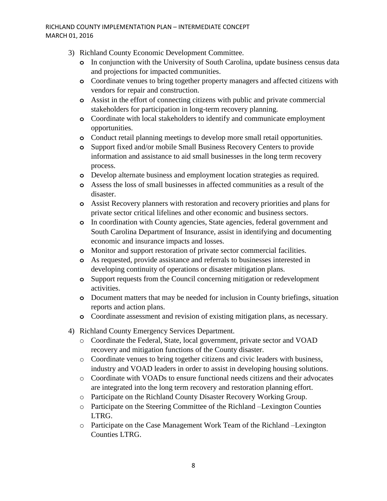- 3) Richland County Economic Development Committee.
	- **o** In conjunction with the University of South Carolina, update business census data and projections for impacted communities.
	- **o** Coordinate venues to bring together property managers and affected citizens with vendors for repair and construction.
	- **o** Assist in the effort of connecting citizens with public and private commercial stakeholders for participation in long-term recovery planning.
	- **o** Coordinate with local stakeholders to identify and communicate employment opportunities.
	- **o** Conduct retail planning meetings to develop more small retail opportunities.
	- **o** Support fixed and/or mobile Small Business Recovery Centers to provide information and assistance to aid small businesses in the long term recovery process.
	- **o** Develop alternate business and employment location strategies as required.
	- **o** Assess the loss of small businesses in affected communities as a result of the disaster.
	- **o** Assist Recovery planners with restoration and recovery priorities and plans for private sector critical lifelines and other economic and business sectors.
	- **o** In coordination with County agencies, State agencies, federal government and South Carolina Department of Insurance, assist in identifying and documenting economic and insurance impacts and losses.
	- **o** Monitor and support restoration of private sector commercial facilities.
	- **o** As requested, provide assistance and referrals to businesses interested in developing continuity of operations or disaster mitigation plans.
	- **o** Support requests from the Council concerning mitigation or redevelopment activities.
	- **o** Document matters that may be needed for inclusion in County briefings, situation reports and action plans.
	- **o** Coordinate assessment and revision of existing mitigation plans, as necessary.
- 4) Richland County Emergency Services Department.
	- o Coordinate the Federal, State, local government, private sector and VOAD recovery and mitigation functions of the County disaster.
	- o Coordinate venues to bring together citizens and civic leaders with business, industry and VOAD leaders in order to assist in developing housing solutions.
	- o Coordinate with VOADs to ensure functional needs citizens and their advocates are integrated into the long term recovery and restoration planning effort.
	- o Participate on the Richland County Disaster Recovery Working Group.
	- o Participate on the Steering Committee of the Richland –Lexington Counties LTRG.
	- o Participate on the Case Management Work Team of the Richland –Lexington Counties LTRG.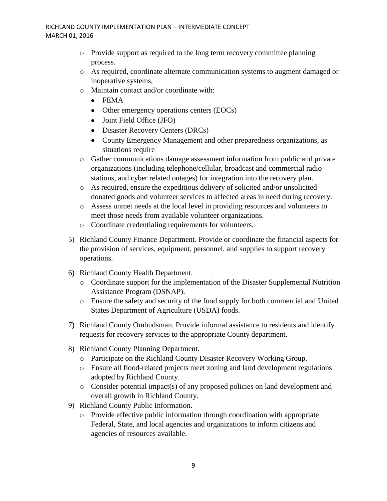- o Provide support as required to the long term recovery committee planning process.
- o As required, coordinate alternate communication systems to augment damaged or inoperative systems.
- o Maintain contact and/or coordinate with:
	- FEMA
	- Other emergency operations centers (EOCs)
	- Joint Field Office (JFO)
	- Disaster Recovery Centers (DRCs)
	- County Emergency Management and other preparedness organizations, as situations require
- o Gather communications damage assessment information from public and private organizations (including telephone/cellular, broadcast and commercial radio stations, and cyber related outages) for integration into the recovery plan.
- o As required, ensure the expeditious delivery of solicited and/or unsolicited donated goods and volunteer services to affected areas in need during recovery.
- o Assess unmet needs at the local level in providing resources and volunteers to meet those needs from available volunteer organizations.
- o Coordinate credentialing requirements for volunteers.
- 5) Richland County Finance Department. Provide or coordinate the financial aspects for the provision of services, equipment, personnel, and supplies to support recovery operations.
- 6) Richland County Health Department.
	- o Coordinate support for the implementation of the Disaster Supplemental Nutrition Assistance Program (DSNAP).
	- o Ensure the safety and security of the food supply for both commercial and United States Department of Agriculture (USDA) foods.
- 7) Richland County Ombudsman. Provide informal assistance to residents and identify requests for recovery services to the appropriate County department.
- 8) Richland County Planning Department.
	- o Participate on the Richland County Disaster Recovery Working Group.
	- o Ensure all flood-related projects meet zoning and land development regulations adopted by Richland County.
	- o Consider potential impact(s) of any proposed policies on land development and overall growth in Richland County.
- 9) Richland County Public Information.
	- o Provide effective public information through coordination with appropriate Federal, State, and local agencies and organizations to inform citizens and agencies of resources available.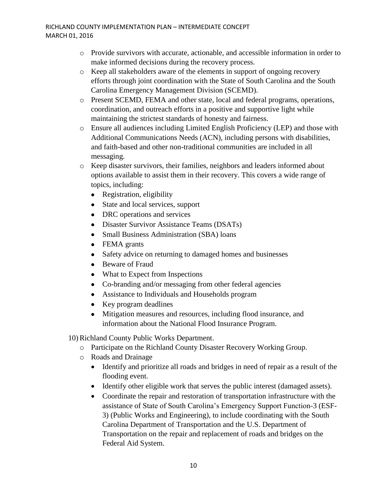- o Provide survivors with accurate, actionable, and accessible information in order to make informed decisions during the recovery process.
- o Keep all stakeholders aware of the elements in support of ongoing recovery efforts through joint coordination with the State of South Carolina and the South Carolina Emergency Management Division (SCEMD).
- o Present SCEMD, FEMA and other state, local and federal programs, operations, coordination, and outreach efforts in a positive and supportive light while maintaining the strictest standards of honesty and fairness.
- o Ensure all audiences including Limited English Proficiency (LEP) and those with Additional Communications Needs (ACN), including persons with disabilities, and faith-based and other non-traditional communities are included in all messaging.
- o Keep disaster survivors, their families, neighbors and leaders informed about options available to assist them in their recovery. This covers a wide range of topics, including:
	- Registration, eligibility
	- State and local services, support
	- DRC operations and services
	- Disaster Survivor Assistance Teams (DSATs)
	- Small Business Administration (SBA) loans
	- FEMA grants
	- Safety advice on returning to damaged homes and businesses
	- Beware of Fraud
	- What to Expect from Inspections
	- Co-branding and/or messaging from other federal agencies
	- Assistance to Individuals and Households program
	- Key program deadlines
	- Mitigation measures and resources, including flood insurance, and information about the National Flood Insurance Program.

10) Richland County Public Works Department.

- o Participate on the Richland County Disaster Recovery Working Group.
- o Roads and Drainage
	- Identify and prioritize all roads and bridges in need of repair as a result of the flooding event.
	- Identify other eligible work that serves the public interest (damaged assets).
	- Coordinate the repair and restoration of transportation infrastructure with the assistance of State of South Carolina's Emergency Support Function-3 (ESF-3) (Public Works and Engineering), to include coordinating with the South Carolina Department of Transportation and the U.S. Department of Transportation on the repair and replacement of roads and bridges on the Federal Aid System.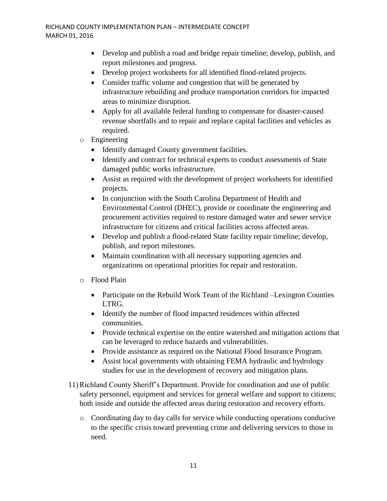- Develop and publish a road and bridge repair timeline; develop, publish, and report milestones and progress.
- Develop project worksheets for all identified flood-related projects.
- Consider traffic volume and congestion that will be generated by infrastructure rebuilding and produce transportation corridors for impacted areas to minimize disruption.
- Apply for all available federal funding to compensate for disaster-caused revenue shortfalls and to repair and replace capital facilities and vehicles as required.
- o Engineering
	- Identify damaged County government facilities.
	- Identify and contract for technical experts to conduct assessments of State damaged public works infrastructure.
	- Assist as required with the development of project worksheets for identified projects.
	- In conjunction with the South Carolina Department of Health and Environmental Control (DHEC), provide or coordinate the engineering and procurement activities required to restore damaged water and sewer service infrastructure for citizens and critical facilities across affected areas.
	- Develop and publish a flood-related State facility repair timeline; develop, publish, and report milestones.
	- Maintain coordination with all necessary supporting agencies and organizations on operational priorities for repair and restoration.
- o Flood Plain
	- Participate on the Rebuild Work Team of the Richland –Lexington Counties LTRG.
	- Identify the number of flood impacted residences within affected communities.
	- Provide technical expertise on the entire watershed and mitigation actions that can be leveraged to reduce hazards and vulnerabilities.
	- Provide assistance as required on the National Flood Insurance Program.
	- Assist local governments with obtaining FEMA hydraulic and hydrology studies for use in the development of recovery and mitigation plans.
- 11) Richland County Sheriff's Department. Provide for coordination and use of public safety personnel, equipment and services for general welfare and support to citizens; both inside and outside the affected areas during restoration and recovery efforts.
	- o Coordinating day to day calls for service while conducting operations conducive to the specific crisis toward preventing crime and delivering services to those in need.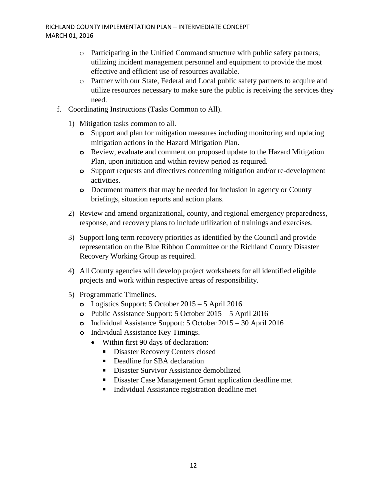- o Participating in the Unified Command structure with public safety partners; utilizing incident management personnel and equipment to provide the most effective and efficient use of resources available.
- o Partner with our State, Federal and Local public safety partners to acquire and utilize resources necessary to make sure the public is receiving the services they need.
- f. Coordinating Instructions (Tasks Common to All).
	- 1) Mitigation tasks common to all.
		- **o** Support and plan for mitigation measures including monitoring and updating mitigation actions in the Hazard Mitigation Plan.
		- **o** Review, evaluate and comment on proposed update to the Hazard Mitigation Plan, upon initiation and within review period as required.
		- **o** Support requests and directives concerning mitigation and/or re-development activities.
		- **o** Document matters that may be needed for inclusion in agency or County briefings, situation reports and action plans.
	- 2) Review and amend organizational, county, and regional emergency preparedness, response, and recovery plans to include utilization of trainings and exercises.
	- 3) Support long term recovery priorities as identified by the Council and provide representation on the Blue Ribbon Committee or the Richland County Disaster Recovery Working Group as required.
	- 4) All County agencies will develop project worksheets for all identified eligible projects and work within respective areas of responsibility.
	- 5) Programmatic Timelines.
		- **o** Logistics Support: 5 October 2015 5 April 2016
		- **o** Public Assistance Support: 5 October 2015 5 April 2016
		- **o** Individual Assistance Support: 5 October 2015 30 April 2016
		- **o** Individual Assistance Key Timings.
			- Within first 90 days of declaration:
				- **Disaster Recovery Centers closed**
				- Deadline for SBA declaration
				- Disaster Survivor Assistance demobilized
				- Disaster Case Management Grant application deadline met
				- Individual Assistance registration deadline met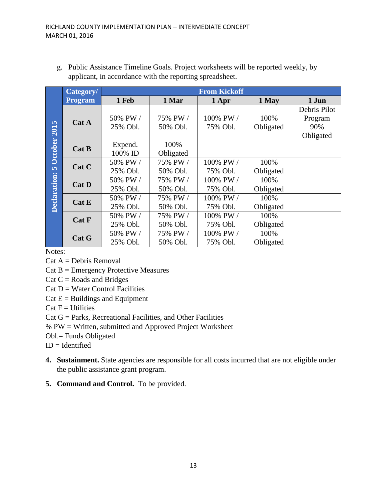|                | <b>From Kickoff</b><br>Category/ |          |           |           |           |              |  |
|----------------|----------------------------------|----------|-----------|-----------|-----------|--------------|--|
|                | <b>Program</b>                   | 1 Feb    | 1 Mar     | 1 Apr     | 1 May     | 1 Jun        |  |
|                |                                  |          |           |           |           | Debris Pilot |  |
|                | Cat A                            | 50% PW / | 75% PW /  | 100% PW / | 100%      | Program      |  |
| 2015           |                                  | 25% Obl. | 50% Obl.  | 75% Obl.  | Obligated | 90%          |  |
|                |                                  |          |           |           |           | Obligated    |  |
| <b>October</b> | Cat B                            | Expend.  | 100%      |           |           |              |  |
|                |                                  | 100% ID  | Obligated |           |           |              |  |
|                | Cat C                            | 50% PW / | 75% PW /  | 100% PW / | 100%      |              |  |
| in,            |                                  | 25% Obl. | 50% Obl.  | 75% Obl.  | Obligated |              |  |
| Declaration:   | Cat D                            | 50% PW / | 75% PW /  | 100% PW / | 100%      |              |  |
|                |                                  | 25% Obl. | 50% Obl.  | 75% Obl.  | Obligated |              |  |
|                | Cat E                            | 50% PW / | 75% PW /  | 100% PW / | 100%      |              |  |
|                |                                  | 25% Obl. | 50% Obl.  | 75% Obl.  | Obligated |              |  |
|                | <b>Cat F</b>                     | 50% PW / | 75% PW /  | 100% PW / | 100%      |              |  |
|                |                                  | 25% Obl. | 50% Obl.  | 75% Obl.  | Obligated |              |  |
|                | Cat G                            | 50% PW / | 75% PW /  | 100% PW / | 100%      |              |  |
|                |                                  | 25% Obl. | 50% Obl.  | 75% Obl.  | Obligated |              |  |

g. Public Assistance Timeline Goals. Project worksheets will be reported weekly, by applicant, in accordance with the reporting spreadsheet.

Notes:

- $Cat A = Debris Removal$
- $Cat B = Emergency$  Protective Measures

 $Cat C = Roads$  and Bridges

 $Cat D = Water Control Facilities$ 

- $Cat E =$  Buildings and Equipment
- $Cat F = *Utilities*$

Cat G = Parks, Recreational Facilities, and Other Facilities

% PW = Written, submitted and Approved Project Worksheet

Obl.= Funds Obligated

 $ID = Identified$ 

- **4. Sustainment.** State agencies are responsible for all costs incurred that are not eligible under the public assistance grant program.
- **5. Command and Control.** To be provided.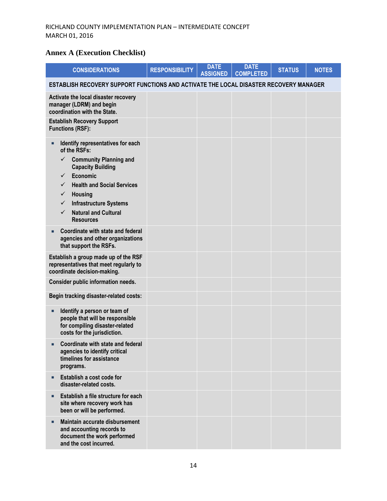## **Annex A (Execution Checklist)**

| <b>CONSIDERATIONS</b>                                                                                                                                                                                                                                                                                                     | <b>RESPONSIBILITY</b> | <b>DATE</b><br><b>ASSIGNED</b> | <b>DATE</b><br><b>COMPLETED</b> | <b>STATUS</b> | <b>NOTES</b> |
|---------------------------------------------------------------------------------------------------------------------------------------------------------------------------------------------------------------------------------------------------------------------------------------------------------------------------|-----------------------|--------------------------------|---------------------------------|---------------|--------------|
| ESTABLISH RECOVERY SUPPORT FUNCTIONS AND ACTIVATE THE LOCAL DISASTER RECOVERY MANAGER                                                                                                                                                                                                                                     |                       |                                |                                 |               |              |
| Activate the local disaster recovery<br>manager (LDRM) and begin<br>coordination with the State.                                                                                                                                                                                                                          |                       |                                |                                 |               |              |
| <b>Establish Recovery Support</b><br><b>Functions (RSF):</b>                                                                                                                                                                                                                                                              |                       |                                |                                 |               |              |
| Identify representatives for each<br>of the RSFs:<br><b>Community Planning and</b><br>$\checkmark$<br><b>Capacity Building</b><br>Economic<br>$\checkmark$<br><b>Health and Social Services</b><br>✓<br><b>Housing</b><br>✓<br><b>Infrastructure Systems</b><br>✓<br><b>Natural and Cultural</b><br>✓<br><b>Resources</b> |                       |                                |                                 |               |              |
| Coordinate with state and federal<br>agencies and other organizations<br>that support the RSFs.                                                                                                                                                                                                                           |                       |                                |                                 |               |              |
| Establish a group made up of the RSF<br>representatives that meet regularly to<br>coordinate decision-making.                                                                                                                                                                                                             |                       |                                |                                 |               |              |
| Consider public information needs.                                                                                                                                                                                                                                                                                        |                       |                                |                                 |               |              |
| Begin tracking disaster-related costs:                                                                                                                                                                                                                                                                                    |                       |                                |                                 |               |              |
| Identify a person or team of<br>п<br>people that will be responsible<br>for compiling disaster-related<br>costs for the jurisdiction.                                                                                                                                                                                     |                       |                                |                                 |               |              |
| Coordinate with state and federal<br>agencies to identify critical<br>timelines for assistance<br>programs.                                                                                                                                                                                                               |                       |                                |                                 |               |              |
| Establish a cost code for<br>п<br>disaster-related costs.                                                                                                                                                                                                                                                                 |                       |                                |                                 |               |              |
| Establish a file structure for each<br>site where recovery work has<br>been or will be performed.                                                                                                                                                                                                                         |                       |                                |                                 |               |              |
| Maintain accurate disbursement<br>and accounting records to<br>document the work performed<br>and the cost incurred.                                                                                                                                                                                                      |                       |                                |                                 |               |              |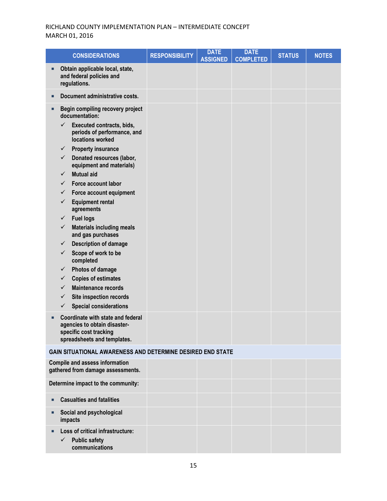|   | <b>CONSIDERATIONS</b>                                                                                                                                                                                                                                                                                                                                                                                                                                                                                                                                                                                                                                                            | <b>RESPONSIBILITY</b> | <b>DATE</b><br><b>ASSIGNED</b> | <b>DATE</b><br><b>COMPLETED</b> | <b>STATUS</b> | <b>NOTES</b> |
|---|----------------------------------------------------------------------------------------------------------------------------------------------------------------------------------------------------------------------------------------------------------------------------------------------------------------------------------------------------------------------------------------------------------------------------------------------------------------------------------------------------------------------------------------------------------------------------------------------------------------------------------------------------------------------------------|-----------------------|--------------------------------|---------------------------------|---------------|--------------|
|   | Obtain applicable local, state,<br>and federal policies and<br>regulations.                                                                                                                                                                                                                                                                                                                                                                                                                                                                                                                                                                                                      |                       |                                |                                 |               |              |
|   | Document administrative costs.                                                                                                                                                                                                                                                                                                                                                                                                                                                                                                                                                                                                                                                   |                       |                                |                                 |               |              |
| Ω | Begin compiling recovery project<br>documentation:<br>$\checkmark$<br>Executed contracts, bids,<br>periods of performance, and<br>locations worked<br><b>Property insurance</b><br>✓<br>Donated resources (labor,<br>$\checkmark$<br>equipment and materials)<br><b>Mutual aid</b><br>✓<br>Force account labor<br>✓<br>Force account equipment<br>✓<br><b>Equipment rental</b><br>✓<br>agreements<br><b>Fuel logs</b><br>✓<br><b>Materials including meals</b><br>✓<br>and gas purchases<br><b>Description of damage</b><br>✓<br>Scope of work to be<br>$\checkmark$<br>completed<br>Photos of damage<br>✓<br><b>Copies of estimates</b><br>✓<br><b>Maintenance records</b><br>✓ |                       |                                |                                 |               |              |
|   | Site inspection records<br>✓<br><b>Special considerations</b><br>$\checkmark$                                                                                                                                                                                                                                                                                                                                                                                                                                                                                                                                                                                                    |                       |                                |                                 |               |              |
|   | Coordinate with state and federal<br>agencies to obtain disaster-<br>specific cost tracking<br>spreadsheets and templates.                                                                                                                                                                                                                                                                                                                                                                                                                                                                                                                                                       |                       |                                |                                 |               |              |
|   | GAIN SITUATIONAL AWARENESS AND DETERMINE DESIRED END STATE                                                                                                                                                                                                                                                                                                                                                                                                                                                                                                                                                                                                                       |                       |                                |                                 |               |              |
|   | <b>Compile and assess information</b><br>gathered from damage assessments.                                                                                                                                                                                                                                                                                                                                                                                                                                                                                                                                                                                                       |                       |                                |                                 |               |              |
|   | Determine impact to the community:                                                                                                                                                                                                                                                                                                                                                                                                                                                                                                                                                                                                                                               |                       |                                |                                 |               |              |
| п | <b>Casualties and fatalities</b>                                                                                                                                                                                                                                                                                                                                                                                                                                                                                                                                                                                                                                                 |                       |                                |                                 |               |              |
|   | Social and psychological<br>impacts                                                                                                                                                                                                                                                                                                                                                                                                                                                                                                                                                                                                                                              |                       |                                |                                 |               |              |
|   | Loss of critical infrastructure:<br><b>Public safety</b><br>$\checkmark$<br>communications                                                                                                                                                                                                                                                                                                                                                                                                                                                                                                                                                                                       |                       |                                |                                 |               |              |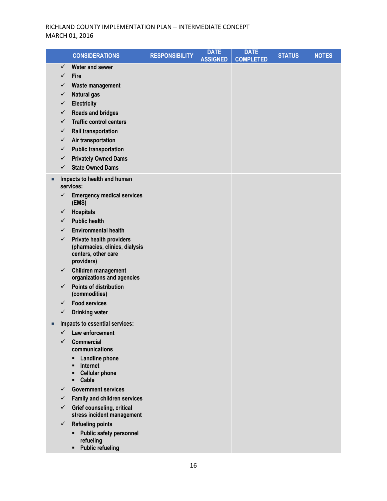| <b>CONSIDERATIONS</b>                                                                                          | <b>RESPONSIBILITY</b> | <b>DATE</b><br><b>ASSIGNED</b> | <b>DATE</b><br><b>COMPLETED</b> | <b>STATUS</b> | <b>NOTES</b> |
|----------------------------------------------------------------------------------------------------------------|-----------------------|--------------------------------|---------------------------------|---------------|--------------|
| <b>Water and sewer</b><br>✓<br>$\checkmark$<br><b>Fire</b><br>Waste management<br>✓<br>✓<br><b>Natural gas</b> |                       |                                |                                 |               |              |
| Electricity<br>✓                                                                                               |                       |                                |                                 |               |              |
| <b>Roads and bridges</b><br>$\checkmark$<br>$\checkmark$                                                       |                       |                                |                                 |               |              |
| <b>Traffic control centers</b><br>Rail transportation<br>✓                                                     |                       |                                |                                 |               |              |
| Air transportation<br>$\checkmark$                                                                             |                       |                                |                                 |               |              |
| <b>Public transportation</b><br>✓                                                                              |                       |                                |                                 |               |              |
| <b>Privately Owned Dams</b><br>✓                                                                               |                       |                                |                                 |               |              |
| <b>State Owned Dams</b><br>$\checkmark$                                                                        |                       |                                |                                 |               |              |
| Impacts to health and human<br>services:                                                                       |                       |                                |                                 |               |              |
| <b>Emergency medical services</b><br>✓<br>(EMS)                                                                |                       |                                |                                 |               |              |
| <b>Hospitals</b><br>✓                                                                                          |                       |                                |                                 |               |              |
| <b>Public health</b><br>✓                                                                                      |                       |                                |                                 |               |              |
| <b>Environmental health</b><br>✓<br>$\checkmark$<br>Private health providers                                   |                       |                                |                                 |               |              |
| (pharmacies, clinics, dialysis<br>centers, other care<br>providers)                                            |                       |                                |                                 |               |              |
| Children management<br>$\checkmark$<br>organizations and agencies                                              |                       |                                |                                 |               |              |
| Points of distribution<br>$\checkmark$<br>(commodities)                                                        |                       |                                |                                 |               |              |
| <b>Food services</b><br>$\checkmark$                                                                           |                       |                                |                                 |               |              |
| ✓<br><b>Drinking water</b>                                                                                     |                       |                                |                                 |               |              |
| Impacts to essential services:                                                                                 |                       |                                |                                 |               |              |
| $\checkmark$ Law enforcement<br>✓<br><b>Commercial</b>                                                         |                       |                                |                                 |               |              |
| communications                                                                                                 |                       |                                |                                 |               |              |
| Landline phone<br>٠<br>Internet<br>П<br><b>Cellular phone</b><br>Ξ<br>Cable<br>٠                               |                       |                                |                                 |               |              |
| <b>Government services</b><br>✓                                                                                |                       |                                |                                 |               |              |
| <b>Family and children services</b><br>✓                                                                       |                       |                                |                                 |               |              |
| <b>Grief counseling, critical</b><br>$\checkmark$<br>stress incident management                                |                       |                                |                                 |               |              |
| $\checkmark$<br><b>Refueling points</b>                                                                        |                       |                                |                                 |               |              |
| <b>Public safety personnel</b><br>٠<br>refueling<br><b>Public refueling</b><br>٠                               |                       |                                |                                 |               |              |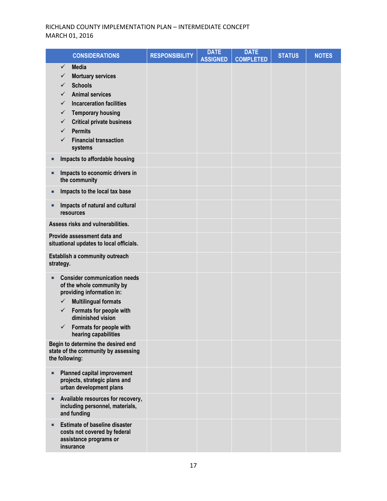| <b>CONSIDERATIONS</b>                                                                                                                                                                                                                                                                                                   | <b>RESPONSIBILITY</b> | <b>DATE</b><br><b>ASSIGNED</b> | <b>DATE</b><br><b>COMPLETED</b> | <b>STATUS</b> | <b>NOTES</b> |
|-------------------------------------------------------------------------------------------------------------------------------------------------------------------------------------------------------------------------------------------------------------------------------------------------------------------------|-----------------------|--------------------------------|---------------------------------|---------------|--------------|
| <b>Media</b><br>$\checkmark$<br><b>Mortuary services</b><br>✓<br><b>Schools</b><br>✓<br><b>Animal services</b><br>$\checkmark$<br><b>Incarceration facilities</b><br>✓<br><b>Temporary housing</b><br>✓<br><b>Critical private business</b><br>✓<br><b>Permits</b><br>✓<br><b>Financial transaction</b><br>✓<br>systems |                       |                                |                                 |               |              |
| Impacts to affordable housing<br>□                                                                                                                                                                                                                                                                                      |                       |                                |                                 |               |              |
| Impacts to economic drivers in<br>п<br>the community                                                                                                                                                                                                                                                                    |                       |                                |                                 |               |              |
| Impacts to the local tax base<br>□                                                                                                                                                                                                                                                                                      |                       |                                |                                 |               |              |
| Impacts of natural and cultural<br>п<br>resources                                                                                                                                                                                                                                                                       |                       |                                |                                 |               |              |
| Assess risks and vulnerabilities.                                                                                                                                                                                                                                                                                       |                       |                                |                                 |               |              |
| Provide assessment data and<br>situational updates to local officials.                                                                                                                                                                                                                                                  |                       |                                |                                 |               |              |
| Establish a community outreach<br>strategy.                                                                                                                                                                                                                                                                             |                       |                                |                                 |               |              |
| <b>Consider communication needs</b><br>п<br>of the whole community by<br>providing information in:<br><b>Multilingual formats</b><br>$\checkmark$<br>Formats for people with<br>✓<br>diminished vision<br>Formats for people with<br>✓<br>hearing capabilities                                                          |                       |                                |                                 |               |              |
| Begin to determine the desired end<br>state of the community by assessing<br>the following:                                                                                                                                                                                                                             |                       |                                |                                 |               |              |
| <b>Planned capital improvement</b><br>п<br>projects, strategic plans and<br>urban development plans                                                                                                                                                                                                                     |                       |                                |                                 |               |              |
| Available resources for recovery,<br>п<br>including personnel, materials,<br>and funding                                                                                                                                                                                                                                |                       |                                |                                 |               |              |
| <b>Estimate of baseline disaster</b><br>п<br>costs not covered by federal<br>assistance programs or<br>insurance                                                                                                                                                                                                        |                       |                                |                                 |               |              |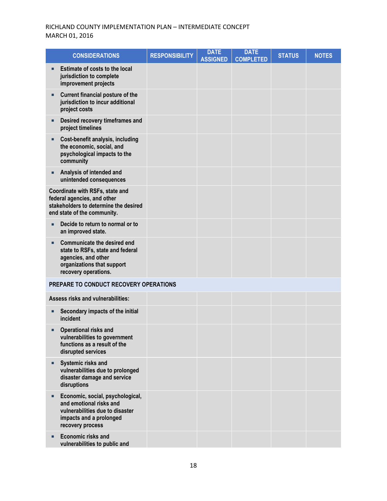| <b>CONSIDERATIONS</b>                                                                                                                                    | <b>RESPONSIBILITY</b> | <b>DATE</b><br><b>ASSIGNED</b> | <b>DATE</b><br><b>COMPLETED</b> | <b>STATUS</b> | <b>NOTES</b> |
|----------------------------------------------------------------------------------------------------------------------------------------------------------|-----------------------|--------------------------------|---------------------------------|---------------|--------------|
| Estimate of costs to the local<br>jurisdiction to complete<br>improvement projects                                                                       |                       |                                |                                 |               |              |
| <b>Current financial posture of the</b><br>п<br>jurisdiction to incur additional<br>project costs                                                        |                       |                                |                                 |               |              |
| Desired recovery timeframes and<br>project timelines                                                                                                     |                       |                                |                                 |               |              |
| Cost-benefit analysis, including<br>the economic, social, and<br>psychological impacts to the<br>community                                               |                       |                                |                                 |               |              |
| Analysis of intended and<br>п<br>unintended consequences                                                                                                 |                       |                                |                                 |               |              |
| Coordinate with RSFs, state and<br>federal agencies, and other<br>stakeholders to determine the desired<br>end state of the community.                   |                       |                                |                                 |               |              |
| Decide to return to normal or to<br>п<br>an improved state.                                                                                              |                       |                                |                                 |               |              |
| <b>Communicate the desired end</b><br>п<br>state to RSFs, state and federal<br>agencies, and other<br>organizations that support<br>recovery operations. |                       |                                |                                 |               |              |
| PREPARE TO CONDUCT RECOVERY OPERATIONS                                                                                                                   |                       |                                |                                 |               |              |
| <b>Assess risks and vulnerabilities:</b>                                                                                                                 |                       |                                |                                 |               |              |
| Secondary impacts of the initial<br>п<br>incident                                                                                                        |                       |                                |                                 |               |              |
| Operational risks and<br>п<br>vulnerabilities to government<br>functions as a result of the<br>disrupted services                                        |                       |                                |                                 |               |              |
| Systemic risks and<br>п<br>vulnerabilities due to prolonged<br>disaster damage and service<br>disruptions                                                |                       |                                |                                 |               |              |
| Economic, social, psychological,<br>п<br>and emotional risks and<br>vulnerabilities due to disaster<br>impacts and a prolonged<br>recovery process       |                       |                                |                                 |               |              |
| Economic risks and<br>vulnerabilities to public and                                                                                                      |                       |                                |                                 |               |              |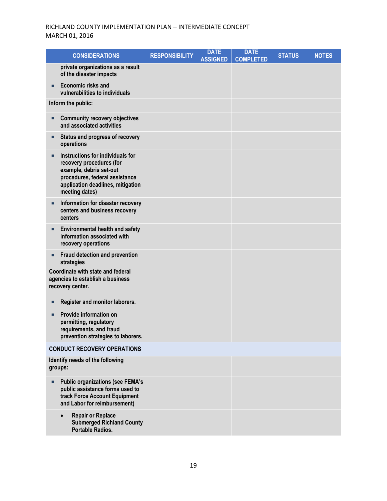| <b>CONSIDERATIONS</b>                                                                                                                                                                 | <b>RESPONSIBILITY</b> | <b>DATE</b><br><b>ASSIGNED</b> | <b>DATE</b><br><b>COMPLETED</b> | <b>STATUS</b> | <b>NOTES</b> |
|---------------------------------------------------------------------------------------------------------------------------------------------------------------------------------------|-----------------------|--------------------------------|---------------------------------|---------------|--------------|
| private organizations as a result<br>of the disaster impacts                                                                                                                          |                       |                                |                                 |               |              |
| Economic risks and<br>п<br>vulnerabilities to individuals                                                                                                                             |                       |                                |                                 |               |              |
| Inform the public:                                                                                                                                                                    |                       |                                |                                 |               |              |
| <b>Community recovery objectives</b><br>and associated activities                                                                                                                     |                       |                                |                                 |               |              |
| Status and progress of recovery<br>operations                                                                                                                                         |                       |                                |                                 |               |              |
| Instructions for individuals for<br>п<br>recovery procedures (for<br>example, debris set-out<br>procedures, federal assistance<br>application deadlines, mitigation<br>meeting dates) |                       |                                |                                 |               |              |
| Information for disaster recovery<br>п<br>centers and business recovery<br>centers                                                                                                    |                       |                                |                                 |               |              |
| <b>Environmental health and safety</b><br>information associated with<br>recovery operations                                                                                          |                       |                                |                                 |               |              |
| Fraud detection and prevention<br>strategies                                                                                                                                          |                       |                                |                                 |               |              |
| Coordinate with state and federal<br>agencies to establish a business<br>recovery center.                                                                                             |                       |                                |                                 |               |              |
| Register and monitor laborers.                                                                                                                                                        |                       |                                |                                 |               |              |
| Provide information on<br>permitting, regulatory<br>requirements, and fraud<br>prevention strategies to laborers.                                                                     |                       |                                |                                 |               |              |
| <b>CONDUCT RECOVERY OPERATIONS</b>                                                                                                                                                    |                       |                                |                                 |               |              |
| Identify needs of the following<br>groups:                                                                                                                                            |                       |                                |                                 |               |              |
| <b>Public organizations (see FEMA's</b><br>public assistance forms used to<br>track Force Account Equipment<br>and Labor for reimbursement)                                           |                       |                                |                                 |               |              |
| <b>Repair or Replace</b><br>$\bullet$<br><b>Submerged Richland County</b><br><b>Portable Radios.</b>                                                                                  |                       |                                |                                 |               |              |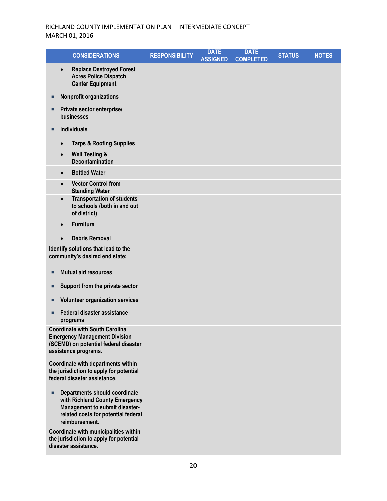| <b>CONSIDERATIONS</b>                                                                                                                                                  | <b>RESPONSIBILITY</b> | <b>DATE</b><br><b>ASSIGNED</b> | <b>DATE</b><br><b>COMPLETED</b> | <b>STATUS</b> | <b>NOTES</b> |
|------------------------------------------------------------------------------------------------------------------------------------------------------------------------|-----------------------|--------------------------------|---------------------------------|---------------|--------------|
| <b>Replace Destroyed Forest</b><br>$\bullet$<br><b>Acres Police Dispatch</b><br><b>Center Equipment.</b>                                                               |                       |                                |                                 |               |              |
| <b>Nonprofit organizations</b><br>П                                                                                                                                    |                       |                                |                                 |               |              |
| Private sector enterprise/<br>п<br>businesses                                                                                                                          |                       |                                |                                 |               |              |
| <b>Individuals</b><br>п                                                                                                                                                |                       |                                |                                 |               |              |
| <b>Tarps &amp; Roofing Supplies</b><br>$\bullet$                                                                                                                       |                       |                                |                                 |               |              |
| <b>Well Testing &amp;</b><br>$\bullet$<br><b>Decontamination</b>                                                                                                       |                       |                                |                                 |               |              |
| <b>Bottled Water</b><br>$\bullet$                                                                                                                                      |                       |                                |                                 |               |              |
| <b>Vector Control from</b><br><b>Standing Water</b>                                                                                                                    |                       |                                |                                 |               |              |
| <b>Transportation of students</b><br>$\bullet$<br>to schools (both in and out<br>of district)                                                                          |                       |                                |                                 |               |              |
| <b>Furniture</b><br>$\bullet$                                                                                                                                          |                       |                                |                                 |               |              |
| <b>Debris Removal</b><br>$\bullet$                                                                                                                                     |                       |                                |                                 |               |              |
| Identify solutions that lead to the<br>community's desired end state:                                                                                                  |                       |                                |                                 |               |              |
| <b>Mutual aid resources</b><br>п                                                                                                                                       |                       |                                |                                 |               |              |
| Support from the private sector<br>П                                                                                                                                   |                       |                                |                                 |               |              |
| <b>Volunteer organization services</b><br>П                                                                                                                            |                       |                                |                                 |               |              |
| Federal disaster assistance<br>programs                                                                                                                                |                       |                                |                                 |               |              |
| <b>Coordinate with South Carolina</b><br><b>Emergency Management Division</b><br>(SCEMD) on potential federal disaster<br>assistance programs.                         |                       |                                |                                 |               |              |
| Coordinate with departments within<br>the jurisdiction to apply for potential<br>federal disaster assistance.                                                          |                       |                                |                                 |               |              |
| <b>Departments should coordinate</b><br>п<br>with Richland County Emergency<br>Management to submit disaster-<br>related costs for potential federal<br>reimbursement. |                       |                                |                                 |               |              |
| Coordinate with municipalities within<br>the jurisdiction to apply for potential<br>disaster assistance.                                                               |                       |                                |                                 |               |              |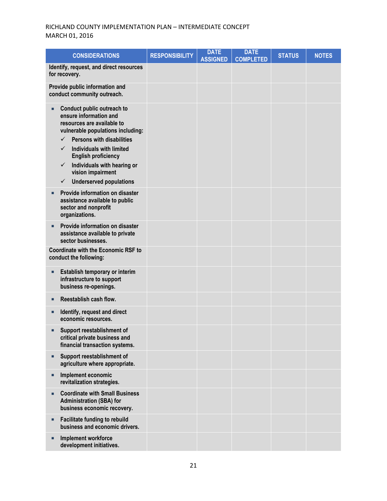| <b>CONSIDERATIONS</b>                                                                                                                                                                                                                                                                                                                                                   | <b>RESPONSIBILITY</b> | <b>DATE</b><br><b>ASSIGNED</b> | <b>DATE</b><br><b>COMPLETED</b> | <b>STATUS</b> | <b>NOTES</b> |
|-------------------------------------------------------------------------------------------------------------------------------------------------------------------------------------------------------------------------------------------------------------------------------------------------------------------------------------------------------------------------|-----------------------|--------------------------------|---------------------------------|---------------|--------------|
| Identify, request, and direct resources<br>for recovery.                                                                                                                                                                                                                                                                                                                |                       |                                |                                 |               |              |
| Provide public information and<br>conduct community outreach.                                                                                                                                                                                                                                                                                                           |                       |                                |                                 |               |              |
| Conduct public outreach to<br>ensure information and<br>resources are available to<br>vulnerable populations including:<br><b>Persons with disabilities</b><br>$\checkmark$<br><b>Individuals with limited</b><br>✓<br><b>English proficiency</b><br>Individuals with hearing or<br>$\checkmark$<br>vision impairment<br><b>Underserved populations</b><br>$\checkmark$ |                       |                                |                                 |               |              |
| Provide information on disaster<br>■<br>assistance available to public<br>sector and nonprofit<br>organizations.                                                                                                                                                                                                                                                        |                       |                                |                                 |               |              |
| Provide information on disaster<br>п<br>assistance available to private<br>sector businesses.                                                                                                                                                                                                                                                                           |                       |                                |                                 |               |              |
| <b>Coordinate with the Economic RSF to</b><br>conduct the following:                                                                                                                                                                                                                                                                                                    |                       |                                |                                 |               |              |
| Establish temporary or interim<br>Π<br>infrastructure to support<br>business re-openings.                                                                                                                                                                                                                                                                               |                       |                                |                                 |               |              |
| Reestablish cash flow.<br>■                                                                                                                                                                                                                                                                                                                                             |                       |                                |                                 |               |              |
| Identify, request and direct<br>economic resources.                                                                                                                                                                                                                                                                                                                     |                       |                                |                                 |               |              |
| Support reestablishment of<br>□<br>critical private business and<br>financial transaction systems.                                                                                                                                                                                                                                                                      |                       |                                |                                 |               |              |
| Support reestablishment of<br>Ξ<br>agriculture where appropriate.                                                                                                                                                                                                                                                                                                       |                       |                                |                                 |               |              |
| Implement economic<br>Ξ<br>revitalization strategies.                                                                                                                                                                                                                                                                                                                   |                       |                                |                                 |               |              |
| <b>Coordinate with Small Business</b><br>Ξ<br><b>Administration (SBA) for</b><br>business economic recovery.                                                                                                                                                                                                                                                            |                       |                                |                                 |               |              |
| <b>Facilitate funding to rebuild</b><br>п<br>business and economic drivers.                                                                                                                                                                                                                                                                                             |                       |                                |                                 |               |              |
| Implement workforce<br>Ξ<br>development initiatives.                                                                                                                                                                                                                                                                                                                    |                       |                                |                                 |               |              |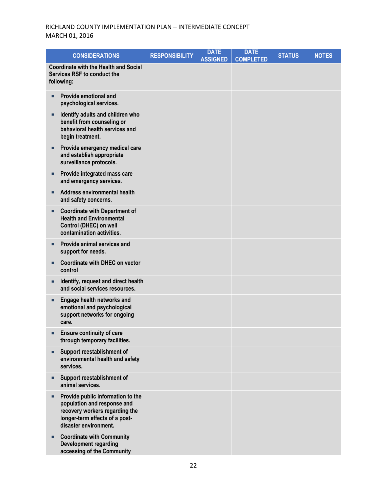| <b>CONSIDERATIONS</b>                                                                                                                                         | <b>RESPONSIBILITY</b> | <b>DATE</b><br><b>ASSIGNED</b> | <b>DATE</b><br><b>COMPLETED</b> | <b>STATUS</b> | <b>NOTES</b> |
|---------------------------------------------------------------------------------------------------------------------------------------------------------------|-----------------------|--------------------------------|---------------------------------|---------------|--------------|
| <b>Coordinate with the Health and Social</b><br>Services RSF to conduct the<br>following:                                                                     |                       |                                |                                 |               |              |
| Provide emotional and<br>п<br>psychological services.                                                                                                         |                       |                                |                                 |               |              |
| Identify adults and children who<br>benefit from counseling or<br>behavioral health services and<br>begin treatment.                                          |                       |                                |                                 |               |              |
| Provide emergency medical care<br>п<br>and establish appropriate<br>surveillance protocols.                                                                   |                       |                                |                                 |               |              |
| Provide integrated mass care<br>п<br>and emergency services.                                                                                                  |                       |                                |                                 |               |              |
| Address environmental health<br>and safety concerns.                                                                                                          |                       |                                |                                 |               |              |
| <b>Coordinate with Department of</b><br><b>Health and Environmental</b><br>Control (DHEC) on well<br>contamination activities.                                |                       |                                |                                 |               |              |
| Provide animal services and<br>п<br>support for needs.                                                                                                        |                       |                                |                                 |               |              |
| Coordinate with DHEC on vector<br>control                                                                                                                     |                       |                                |                                 |               |              |
| Identify, request and direct health<br>and social services resources.                                                                                         |                       |                                |                                 |               |              |
| Engage health networks and<br>п<br>emotional and psychological<br>support networks for ongoing<br>care.                                                       |                       |                                |                                 |               |              |
| <b>Ensure continuity of care</b><br>through temporary facilities.                                                                                             |                       |                                |                                 |               |              |
| Support reestablishment of<br>п<br>environmental health and safety<br>services.                                                                               |                       |                                |                                 |               |              |
| Support reestablishment of<br>п<br>animal services.                                                                                                           |                       |                                |                                 |               |              |
| Provide public information to the<br>population and response and<br>recovery workers regarding the<br>longer-term effects of a post-<br>disaster environment. |                       |                                |                                 |               |              |
| <b>Coordinate with Community</b><br>п<br><b>Development regarding</b><br>accessing of the Community                                                           |                       |                                |                                 |               |              |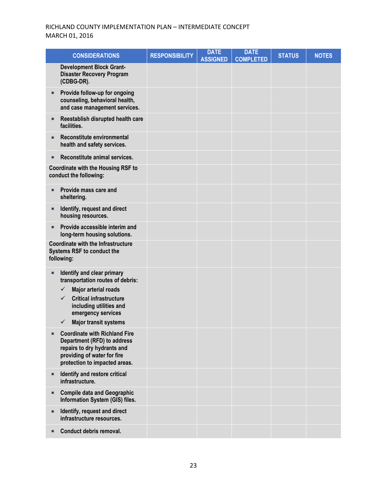| <b>CONSIDERATIONS</b>                                                                                                                                                                                                                          | <b>RESPONSIBILITY</b> | <b>DATE</b><br><b>ASSIGNED</b> | <b>DATE</b><br><b>COMPLETED</b> | <b>STATUS</b> | <b>NOTES</b> |
|------------------------------------------------------------------------------------------------------------------------------------------------------------------------------------------------------------------------------------------------|-----------------------|--------------------------------|---------------------------------|---------------|--------------|
| <b>Development Block Grant-</b><br><b>Disaster Recovery Program</b><br>(CDBG-DR).                                                                                                                                                              |                       |                                |                                 |               |              |
| Provide follow-up for ongoing<br>counseling, behavioral health,<br>and case management services.                                                                                                                                               |                       |                                |                                 |               |              |
| Reestablish disrupted health care<br>facilities.                                                                                                                                                                                               |                       |                                |                                 |               |              |
| Reconstitute environmental<br>health and safety services.                                                                                                                                                                                      |                       |                                |                                 |               |              |
| Reconstitute animal services.<br>п                                                                                                                                                                                                             |                       |                                |                                 |               |              |
| <b>Coordinate with the Housing RSF to</b><br>conduct the following:                                                                                                                                                                            |                       |                                |                                 |               |              |
| Provide mass care and<br>sheltering.                                                                                                                                                                                                           |                       |                                |                                 |               |              |
| Identify, request and direct<br>housing resources.                                                                                                                                                                                             |                       |                                |                                 |               |              |
| Provide accessible interim and<br>long-term housing solutions.                                                                                                                                                                                 |                       |                                |                                 |               |              |
| <b>Coordinate with the Infrastructure</b><br>Systems RSF to conduct the<br>following:                                                                                                                                                          |                       |                                |                                 |               |              |
| Identify and clear primary<br>transportation routes of debris:<br>Major arterial roads<br>$\checkmark$<br><b>Critical infrastructure</b><br>$\checkmark$<br>including utilities and<br>emergency services<br><b>Major transit systems</b><br>✓ |                       |                                |                                 |               |              |
| <b>Coordinate with Richland Fire</b><br>Department (RFD) to address<br>repairs to dry hydrants and<br>providing of water for fire<br>protection to impacted areas.                                                                             |                       |                                |                                 |               |              |
| Identify and restore critical<br>п<br>infrastructure.                                                                                                                                                                                          |                       |                                |                                 |               |              |
| <b>Compile data and Geographic</b><br>Information System (GIS) files.                                                                                                                                                                          |                       |                                |                                 |               |              |
| Identify, request and direct<br>infrastructure resources.                                                                                                                                                                                      |                       |                                |                                 |               |              |
| Conduct debris removal.                                                                                                                                                                                                                        |                       |                                |                                 |               |              |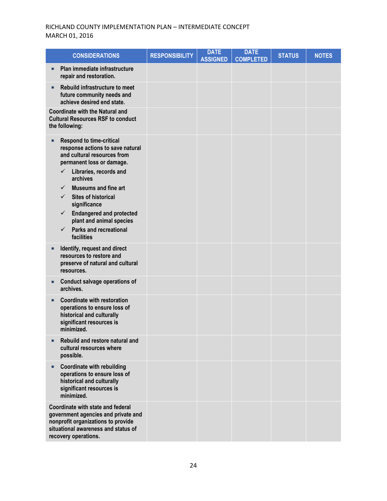| <b>CONSIDERATIONS</b>                                                                                                                                                                                                                                                                                                                                                                                                                                 | <b>RESPONSIBILITY</b> | <b>DATE</b><br><b>ASSIGNED</b> | <b>DATE</b><br><b>COMPLETED</b> | <b>STATUS</b> | <b>NOTES</b> |
|-------------------------------------------------------------------------------------------------------------------------------------------------------------------------------------------------------------------------------------------------------------------------------------------------------------------------------------------------------------------------------------------------------------------------------------------------------|-----------------------|--------------------------------|---------------------------------|---------------|--------------|
| Plan immediate infrastructure<br>п<br>repair and restoration.                                                                                                                                                                                                                                                                                                                                                                                         |                       |                                |                                 |               |              |
| Rebuild infrastructure to meet<br>п<br>future community needs and<br>achieve desired end state.                                                                                                                                                                                                                                                                                                                                                       |                       |                                |                                 |               |              |
| <b>Coordinate with the Natural and</b><br><b>Cultural Resources RSF to conduct</b><br>the following:                                                                                                                                                                                                                                                                                                                                                  |                       |                                |                                 |               |              |
| <b>Respond to time-critical</b><br>п<br>response actions to save natural<br>and cultural resources from<br>permanent loss or damage.<br>$\checkmark$<br>Libraries, records and<br>archives<br><b>Museums and fine art</b><br>$\checkmark$<br>$\checkmark$<br><b>Sites of historical</b><br>significance<br><b>Endangered and protected</b><br>$\checkmark$<br>plant and animal species<br><b>Parks and recreational</b><br>$\checkmark$<br>facilities |                       |                                |                                 |               |              |
| Identify, request and direct<br>п<br>resources to restore and<br>preserve of natural and cultural<br>resources.                                                                                                                                                                                                                                                                                                                                       |                       |                                |                                 |               |              |
| <b>Conduct salvage operations of</b><br>archives.                                                                                                                                                                                                                                                                                                                                                                                                     |                       |                                |                                 |               |              |
| <b>Coordinate with restoration</b><br>п<br>operations to ensure loss of<br>historical and culturally<br>significant resources is<br>minimized.                                                                                                                                                                                                                                                                                                        |                       |                                |                                 |               |              |
| Rebuild and restore natural and<br>cultural resources where<br>possible.                                                                                                                                                                                                                                                                                                                                                                              |                       |                                |                                 |               |              |
| <b>Coordinate with rebuilding</b><br>п<br>operations to ensure loss of<br>historical and culturally<br>significant resources is<br>minimized.                                                                                                                                                                                                                                                                                                         |                       |                                |                                 |               |              |
| Coordinate with state and federal<br>government agencies and private and<br>nonprofit organizations to provide<br>situational awareness and status of<br>recovery operations.                                                                                                                                                                                                                                                                         |                       |                                |                                 |               |              |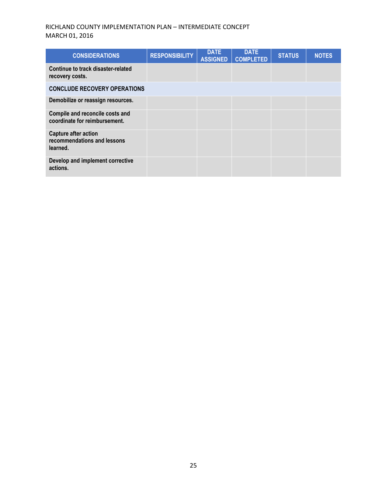| <b>CONSIDERATIONS</b>                                                  | <b>RESPONSIBILITY</b> | <b>DATE</b><br><b>ASSIGNED</b> | <b>DATE</b><br><b>COMPLETED</b> | <b>STATUS</b> | <b>NOTES</b> |
|------------------------------------------------------------------------|-----------------------|--------------------------------|---------------------------------|---------------|--------------|
| Continue to track disaster-related<br>recovery costs.                  |                       |                                |                                 |               |              |
| <b>CONCLUDE RECOVERY OPERATIONS</b>                                    |                       |                                |                                 |               |              |
| Demobilize or reassign resources.                                      |                       |                                |                                 |               |              |
| Compile and reconcile costs and<br>coordinate for reimbursement.       |                       |                                |                                 |               |              |
| <b>Capture after action</b><br>recommendations and lessons<br>learned. |                       |                                |                                 |               |              |
| Develop and implement corrective<br>actions.                           |                       |                                |                                 |               |              |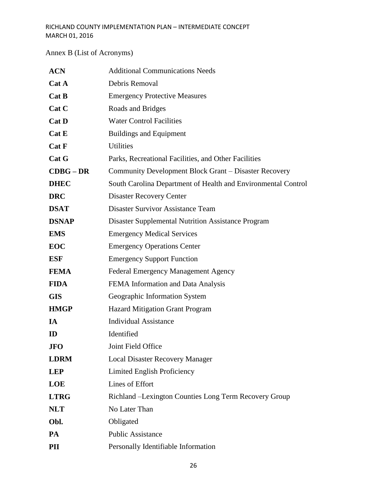# Annex B (List of Acronyms)

| <b>ACN</b>   | <b>Additional Communications Needs</b>                        |
|--------------|---------------------------------------------------------------|
| Cat A        | Debris Removal                                                |
| Cat B        | <b>Emergency Protective Measures</b>                          |
| Cat C        | Roads and Bridges                                             |
| Cat D        | <b>Water Control Facilities</b>                               |
| Cat E        | <b>Buildings and Equipment</b>                                |
| Cat F        | <b>Utilities</b>                                              |
| Cat G        | Parks, Recreational Facilities, and Other Facilities          |
| $CDBG - DR$  | Community Development Block Grant - Disaster Recovery         |
| <b>DHEC</b>  | South Carolina Department of Health and Environmental Control |
| <b>DRC</b>   | <b>Disaster Recovery Center</b>                               |
| <b>DSAT</b>  | <b>Disaster Survivor Assistance Team</b>                      |
| <b>DSNAP</b> | <b>Disaster Supplemental Nutrition Assistance Program</b>     |
| <b>EMS</b>   | <b>Emergency Medical Services</b>                             |
| <b>EOC</b>   | <b>Emergency Operations Center</b>                            |
| <b>ESF</b>   | <b>Emergency Support Function</b>                             |
| <b>FEMA</b>  | <b>Federal Emergency Management Agency</b>                    |
| <b>FIDA</b>  | FEMA Information and Data Analysis                            |
| <b>GIS</b>   | Geographic Information System                                 |
| <b>HMGP</b>  | Hazard Mitigation Grant Program                               |
| IA           | <b>Individual Assistance</b>                                  |
| ID           | Identified                                                    |
| <b>JFO</b>   | Joint Field Office                                            |
| <b>LDRM</b>  | <b>Local Disaster Recovery Manager</b>                        |
| <b>LEP</b>   | Limited English Proficiency                                   |
| <b>LOE</b>   | Lines of Effort                                               |
| <b>LTRG</b>  | Richland – Lexington Counties Long Term Recovery Group        |
| <b>NLT</b>   | No Later Than                                                 |
| Obl.         | Obligated                                                     |
| PA           | <b>Public Assistance</b>                                      |
| PII          | Personally Identifiable Information                           |